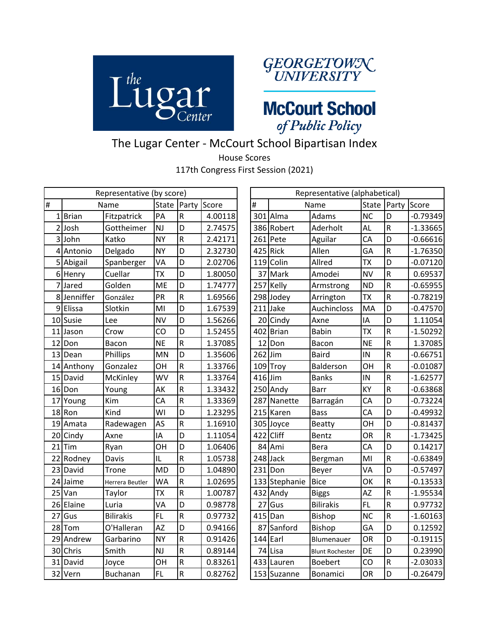



**McCourt School** of Public Policy

## The Lugar Center - McCourt School Bipartisan Index

House Scores

117th Congress First Session (2021)

|    |             |                  | Representative (alphabetical)<br>Representative (by score)<br>State Party<br>State Party |                         |         |  |           |               |                        |           |              |            |
|----|-------------|------------------|------------------------------------------------------------------------------------------|-------------------------|---------|--|-----------|---------------|------------------------|-----------|--------------|------------|
| l# |             | Name             |                                                                                          |                         | Score   |  | #         |               | Name                   |           |              | Score      |
|    | 1Brian      | Fitzpatrick      | PA                                                                                       | ${\sf R}$               | 4.00118 |  |           | 301 Alma      | Adams                  | <b>NC</b> | D            | $-0.79349$ |
|    | 2 Josh      | Gottheimer       | <b>NJ</b>                                                                                | D                       | 2.74575 |  |           | 386 Robert    | Aderholt               | <b>AL</b> | $\mathsf R$  | $-1.33665$ |
|    | 3 John      | Katko            | <b>NY</b>                                                                                | $\mathsf R$             | 2.42171 |  |           | 261 Pete      | Aguilar                | CA        | D            | $-0.66616$ |
|    | 4 Antonio   | Delgado          | <b>NY</b>                                                                                | D                       | 2.32730 |  |           | $425$ Rick    | Allen                  | GA        | $\mathsf R$  | $-1.76350$ |
|    | 5 Abigail   | Spanberger       | VA                                                                                       | D                       | 2.02706 |  |           | 119 Colin     | Allred                 | <b>TX</b> | D            | $-0.07120$ |
|    | 6 Henry     | Cuellar          | <b>TX</b>                                                                                | D                       | 1.80050 |  |           | 37 Mark       | Amodei                 | <b>NV</b> | R            | 0.69537    |
| 7  | Jared       | Golden           | <b>ME</b>                                                                                | D                       | 1.74777 |  | 257       | Kelly         | Armstrong              | <b>ND</b> | ${\sf R}$    | $-0.65955$ |
|    | 8 Jenniffer | González         | PR                                                                                       | $\overline{\mathsf{R}}$ | 1.69566 |  |           | 298 Jodey     | Arrington              | <b>TX</b> | $\mathsf R$  | $-0.78219$ |
|    | 9 Elissa    | Slotkin          | MI                                                                                       | D                       | 1.67539 |  |           | $211$ Jake    | Auchincloss            | MA        | D            | $-0.47570$ |
|    | 10 Susie    | Lee              | <b>NV</b>                                                                                | D                       | 1.56266 |  |           | 20 Cindy      | Axne                   | IA        | D            | 1.11054    |
| 11 | Jason       | Crow             | CO                                                                                       | D                       | 1.52455 |  |           | 402 Brian     | <b>Babin</b>           | <b>TX</b> | R            | $-1.50292$ |
| 12 | Don         | Bacon            | <b>NE</b>                                                                                | ${\sf R}$               | 1.37085 |  |           | 12 Don        | Bacon                  | <b>NE</b> | ${\sf R}$    | 1.37085    |
|    | 13 Dean     | Phillips         | MN                                                                                       | D                       | 1.35606 |  | $262$ Jim |               | <b>Baird</b>           | IN        | R            | $-0.66751$ |
| 14 | Anthony     | Gonzalez         | OH                                                                                       | $\overline{\mathsf{R}}$ | 1.33766 |  |           | 109 Troy      | Balderson              | OH        | R            | $-0.01087$ |
| 15 | David       | McKinley         | WV                                                                                       | ${\sf R}$               | 1.33764 |  | 416 Jim   |               | <b>Banks</b>           | IN        | R            | $-1.62577$ |
|    | 16 Don      | Young            | AK                                                                                       | $\overline{\mathsf{R}}$ | 1.33432 |  |           | 250 Andy      | <b>Barr</b>            | KY        | ${\sf R}$    | $-0.63868$ |
| 17 | Young       | Kim              | CA                                                                                       | $\overline{\mathsf{R}}$ | 1.33369 |  |           | 287 Nanette   | Barragán               | CA        | D            | $-0.73224$ |
|    | 18Ron       | Kind             | WI                                                                                       | D                       | 1.23295 |  |           | 215 Karen     | <b>Bass</b>            | CA        | D            | $-0.49932$ |
|    | 19 Amata    | Radewagen        | AS                                                                                       | $\overline{\mathsf{R}}$ | 1.16910 |  |           | 305 Joyce     | <b>Beatty</b>          | OH        | D            | $-0.81437$ |
|    | 20 Cindy    | Axne             | IA                                                                                       | D                       | 1.11054 |  | 422       | Cliff         | Bentz                  | <b>OR</b> | R            | $-1.73425$ |
| 21 | Tim         | Ryan             | OH                                                                                       | D                       | 1.06406 |  |           | 84 Ami        | <b>Bera</b>            | CA        | D            | 0.14217    |
|    | 22 Rodney   | Davis            | IL                                                                                       | $\overline{\mathsf{R}}$ | 1.05738 |  |           | 248 Jack      | Bergman                | MI        | $\mathsf R$  | $-0.63849$ |
|    | 23 David    | <b>Trone</b>     | <b>MD</b>                                                                                | D                       | 1.04890 |  |           | $231$ Don     | Beyer                  | VA        | D            | $-0.57497$ |
|    | 24 Jaime    | Herrera Beutler  | <b>WA</b>                                                                                | ${\sf R}$               | 1.02695 |  |           | 133 Stephanie | <b>Bice</b>            | OK        | R            | $-0.13533$ |
| 25 | Van         | Taylor           | <b>TX</b>                                                                                | $\overline{\mathsf{R}}$ | 1.00787 |  |           | 432 Andy      | <b>Biggs</b>           | <b>AZ</b> | R            | $-1.95534$ |
|    | 26 Elaine   | Luria            | VA                                                                                       | D                       | 0.98778 |  | 27        | Gus           | <b>Bilirakis</b>       | FL.       | $\mathsf{R}$ | 0.97732    |
| 27 | Gus         | <b>Bilirakis</b> | FL.                                                                                      | $\overline{\mathsf{R}}$ | 0.97732 |  |           | 415 Dan       | Bishop                 | <b>NC</b> | ${\sf R}$    | $-1.60163$ |
|    | 28 Tom      | O'Halleran       | <b>AZ</b>                                                                                | D                       | 0.94166 |  |           | 87 Sanford    | Bishop                 | GA        | D            | 0.12592    |
|    | 29 Andrew   | Garbarino        | <b>NY</b>                                                                                | $\mathsf R$             | 0.91426 |  | 144       | Earl          | Blumenauer             | <b>OR</b> | D            | $-0.19115$ |
|    | 30 Chris    | Smith            | NJ                                                                                       | $\overline{\mathsf{R}}$ | 0.89144 |  | 74        | Lisa          | <b>Blunt Rochester</b> | DE        | D            | 0.23990    |
|    | 31 David    | Joyce            | OH                                                                                       | ${\sf R}$               | 0.83261 |  |           | 433 Lauren    | <b>Boebert</b>         | CO        | ${\sf R}$    | $-2.03033$ |
|    | 32 Vern     | <b>Buchanan</b>  | <b>FL</b>                                                                                | $\overline{R}$          | 0.82762 |  |           | 153 Suzanne   | Bonamici               | OR        | D            | $-0.26479$ |

|    | Representative (by score) |                  |           |                         |         |  |           |               | Representative (alphabetical) |           |             |            |
|----|---------------------------|------------------|-----------|-------------------------|---------|--|-----------|---------------|-------------------------------|-----------|-------------|------------|
|    |                           | Name             | State     | Party                   | Score   |  | #         |               | Name                          | State     | Party       | Score      |
|    | 1Brian                    | Fitzpatrick      | PA        | $\mathsf{R}$            | 4.00118 |  |           | 301 Alma      | Adams                         | <b>NC</b> | D           | $-0.79349$ |
|    | $2$ Josh                  | Gottheimer       | <b>NJ</b> | D                       | 2.74575 |  |           | 386 Robert    | Aderholt                      | AL        | R           | $-1.33665$ |
|    | 3John                     | Katko            | <b>NY</b> | ${\sf R}$               | 2.42171 |  |           | 261 Pete      | Aguilar                       | CA        | D           | $-0.66616$ |
|    | 4 Antonio                 | Delgado          | <b>NY</b> | D                       | 2.32730 |  | 425       | <b>Rick</b>   | Allen                         | GA        | $\sf R$     | $-1.76350$ |
|    | 5 Abigail                 | Spanberger       | VA        | D                       | 2.02706 |  | 119       | Colin         | Allred                        | <b>TX</b> | D           | $-0.07120$ |
|    | 6 Henry                   | Cuellar          | <b>TX</b> | D                       | 1.80050 |  |           | 37 Mark       | Amodei                        | <b>NV</b> | R           | 0.69537    |
|    | 7 Jared                   | Golden           | <b>ME</b> | D                       | 1.74777 |  | 257       | Kelly         | Armstrong                     | <b>ND</b> | R           | $-0.65955$ |
|    | 8 Jenniffer               | González         | PR        | $\mathsf R$             | 1.69566 |  | 298       | Jodey         | Arrington                     | <b>TX</b> | R           | $-0.78219$ |
|    | 9 Elissa                  | Slotkin          | MI        | D                       | 1.67539 |  | 211       | Jake          | Auchincloss                   | MA        | D           | $-0.47570$ |
|    | 10 Susie                  | Lee              | <b>NV</b> | D                       | 1.56266 |  | 20        | Cindy         | Axne                          | IA        | D           | 1.11054    |
| 11 | Jason                     | Crow             | CO        | D                       | 1.52455 |  |           | 402 Brian     | <b>Babin</b>                  | <b>TX</b> | R           | $-1.50292$ |
|    | 12 Don                    | Bacon            | <b>NE</b> | $\overline{\mathsf{R}}$ | 1.37085 |  | 12        | Don           | Bacon                         | <b>NE</b> | R           | 1.37085    |
|    | 13 Dean                   | Phillips         | <b>MN</b> | D                       | 1.35606 |  | 262       | Jim           | <b>Baird</b>                  | IN        | R           | $-0.66751$ |
|    | 14 Anthony                | Gonzalez         | OН        | $\mathsf R$             | 1.33766 |  | 109       | Troy          | Balderson                     | OH        | $\mathsf R$ | $-0.01087$ |
|    | 15 David                  | McKinley         | WV        | ${\sf R}$               | 1.33764 |  | $416$ Jim |               | <b>Banks</b>                  | IN        | R           | $-1.62577$ |
|    | 16Don                     | Young            | AK        | $\overline{\mathsf{R}}$ | 1.33432 |  |           | 250 Andy      | <b>Barr</b>                   | KY        | R           | $-0.63868$ |
| 17 | Young                     | Kim              | CA        | $\overline{\mathsf{R}}$ | 1.33369 |  | 287       | Nanette       | Barragán                      | CA        | D           | $-0.73224$ |
|    | 18Ron                     | Kind             | WI        | D                       | 1.23295 |  |           | 215 Karen     | Bass                          | CA        | D           | $-0.49932$ |
|    | 19 Amata                  | Radewagen        | AS        | $\mathsf{R}$            | 1.16910 |  |           | 305 Joyce     | <b>Beatty</b>                 | OH        | D           | $-0.81437$ |
|    | 20 Cindy                  | Axne             | IΑ        | D                       | 1.11054 |  | 422       | Cliff         | Bentz                         | <b>OR</b> | R           | $-1.73425$ |
| 21 | Tim                       | Ryan             | OН        | D                       | 1.06406 |  |           | 84 Ami        | Bera                          | CA        | D           | 0.14217    |
| 22 | Rodney                    | Davis            | IL        | $\overline{\mathsf{R}}$ | 1.05738 |  |           | 248 Jack      | Bergman                       | MI        | R           | $-0.63849$ |
|    | 23 David                  | Trone            | <b>MD</b> | D                       | 1.04890 |  | 231       | Don           | Beyer                         | VA        | D           | $-0.57497$ |
| 24 | Jaime                     | Herrera Beutler  | WA        | ${\sf R}$               | 1.02695 |  |           | 133 Stephanie | <b>Bice</b>                   | OK        | R           | $-0.13533$ |
|    | 25 Van                    | Taylor           | <b>TX</b> | $\mathsf R$             | 1.00787 |  |           | $432$ Andy    | <b>Biggs</b>                  | <b>AZ</b> | R           | $-1.95534$ |
|    | 26 Elaine                 | Luria            | VA        | D                       | 0.98778 |  | 27        | Gus           | <b>Bilirakis</b>              | <b>FL</b> | R           | 0.97732    |
| 27 | Gus                       | <b>Bilirakis</b> | <b>FL</b> | $\overline{\mathsf{R}}$ | 0.97732 |  | 415       | Dan           | <b>Bishop</b>                 | <b>NC</b> | R           | $-1.60163$ |
|    | 28 Tom                    | O'Halleran       | <b>AZ</b> | D                       | 0.94166 |  | 87        | Sanford       | <b>Bishop</b>                 | GA        | D           | 0.12592    |
|    | 29 Andrew                 | Garbarino        | <b>NY</b> | $\mathsf R$             | 0.91426 |  | 144       | Earl          | Blumenauer                    | <b>OR</b> | D           | $-0.19115$ |
|    | 30 Chris                  | Smith            | <b>NJ</b> | $\overline{\mathsf{R}}$ | 0.89144 |  | 74        | Lisa          | <b>Blunt Rochester</b>        | DE        | D           | 0.23990    |
| 31 | David                     | Joyce            | OН        | $\mathsf R$             | 0.83261 |  |           | 433 Lauren    | <b>Boebert</b>                | CO        | R           | $-2.03033$ |
|    | 32 Vern                   | <b>Buchanan</b>  | <b>FL</b> | $\overline{R}$          | 0.82762 |  |           | 153 Suzanne   | Bonamici                      | <b>OR</b> | D           | $-0.26479$ |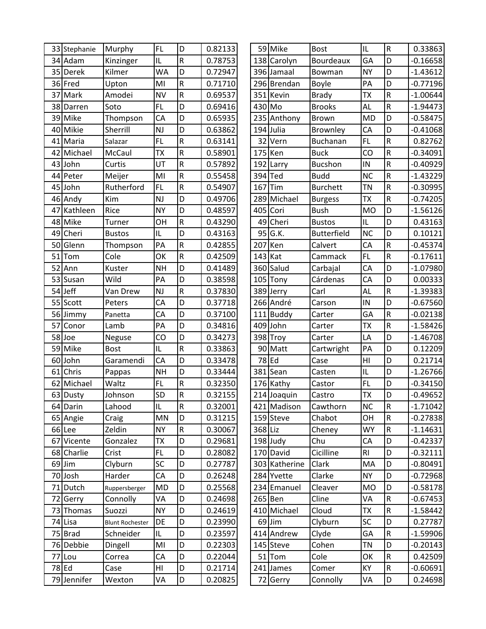|    | 33 Stephanie | Murphy                 | <b>FL</b> | D                       | 0.82133 |           | 59 Mike       | <b>Bost</b>     | IL             | R              | 0.33863    |
|----|--------------|------------------------|-----------|-------------------------|---------|-----------|---------------|-----------------|----------------|----------------|------------|
|    | 34 Adam      | Kinzinger              | IL        | $\mathsf R$             | 0.78753 |           | 138 Carolyn   | Bourdeaux       | GA             | D              | $-0.16658$ |
|    | 35 Derek     | Kilmer                 | <b>WA</b> | D                       | 0.72947 |           | 396 Jamaal    | Bowman          | <b>NY</b>      | D              | $-1.43612$ |
|    | 36 Fred      | Upton                  | MI        | ${\sf R}$               | 0.71710 |           | 296 Brendan   | Boyle           | PA             | D              | $-0.77196$ |
| 37 | Mark         | Amodei                 | <b>NV</b> | ${\sf R}$               | 0.69537 |           | 351 Kevin     | <b>Brady</b>    | <b>TX</b>      | R              | $-1.00644$ |
| 38 | Darren       | Soto                   | FL        | D                       | 0.69416 | 430 Mo    |               | <b>Brooks</b>   | AL             | R              | $-1.94473$ |
|    | 39 Mike      | Thompson               | CA        | D                       | 0.65935 |           | 235 Anthony   | Brown           | <b>MD</b>      | D              | $-0.58475$ |
|    | 40 Mikie     | Sherrill               | <b>NJ</b> | D                       | 0.63862 |           | 194 Julia     | Brownley        | CA             | D              | $-0.41068$ |
| 41 | Maria        | Salazar                | FL        | ${\sf R}$               | 0.63141 |           | 32 Vern       | <b>Buchanan</b> | <b>FL</b>      | R              | 0.82762    |
| 42 | Michael      | McCaul                 | <b>TX</b> | $\overline{\mathsf{R}}$ | 0.58901 |           | $175$ Ken     | <b>Buck</b>     | CO             | ${\sf R}$      | $-0.34091$ |
|    | 43 John      | Curtis                 | UT        | ${\sf R}$               | 0.57892 |           | 192 Larry     | <b>Bucshon</b>  | IN             | R              | $-0.40929$ |
|    | 44 Peter     | Meijer                 | MI        | $\mathsf R$             | 0.55458 |           | 394 Ted       | <b>Budd</b>     | <b>NC</b>      | R              | $-1.43229$ |
|    | 45 John      | Rutherford             | FL        | ${\sf R}$               | 0.54907 | 167       | Tim           | <b>Burchett</b> | <b>TN</b>      | R              | $-0.30995$ |
|    | 46 Andy      | Kim                    | <b>NJ</b> | D                       | 0.49706 |           | 289 Michael   | <b>Burgess</b>  | <b>TX</b>      | $\sf R$        | $-0.74205$ |
| 47 | Kathleen     | Rice                   | <b>NY</b> | D                       | 0.48597 |           | 405 Cori      | <b>Bush</b>     | <b>MO</b>      | D              | $-1.56126$ |
|    | 48 Mike      | Turner                 | OН        | ${\sf R}$               | 0.43290 | 49        | Cheri         | <b>Bustos</b>   | IL             | D              | 0.43163    |
|    | 49 Cheri     | <b>Bustos</b>          | IL        | D                       | 0.43163 |           | $95$ G.K.     | Butterfield     | <b>NC</b>      | D              | 0.10121    |
| 50 | Glenn        | Thompson               | PA        | ${\sf R}$               | 0.42855 | 207       | Ken           | Calvert         | CA             | $\sf R$        | $-0.45374$ |
| 51 | Tom          | Cole                   | OK        | ${\sf R}$               | 0.42509 | $143$ Kat |               | Cammack         | FL             | ${\sf R}$      | $-0.17611$ |
| 52 | Ann          | Kuster                 | <b>NH</b> | D                       | 0.41489 |           | 360 Salud     | Carbajal        | CA             | D              | $-1.07980$ |
|    | 53 Susan     | Wild                   | PA        | D                       | 0.38598 |           | 105 Tony      | Cárdenas        | CA             | D              | 0.00333    |
|    | 54 Jeff      | Van Drew               | <b>NJ</b> | $\overline{\mathsf{R}}$ | 0.37830 |           | 389 Jerry     | Carl            | AL             | $\sf R$        | $-1.39383$ |
| 55 | Scott        | Peters                 | CA        | D                       | 0.37718 |           | 266 André     | Carson          | IN             | D              | $-0.67560$ |
|    | 56 Jimmy     | Panetta                | CA        | D                       | 0.37100 |           | 111 Buddy     | Carter          | GA             | $\sf R$        | $-0.02138$ |
| 57 | Conor        | Lamb                   | PA        | D                       | 0.34816 |           | 409 John      | Carter          | <b>ΤX</b>      | R              | $-1.58426$ |
| 58 | Joe          | Neguse                 | CO        | D                       | 0.34273 |           | 398 Troy      | Carter          | LA             | D              | $-1.46708$ |
|    | 59 Mike      | <b>Bost</b>            | IL        | $\overline{\mathsf{R}}$ | 0.33863 |           | 90 Matt       | Cartwright      | PA             | D              | 0.12209    |
| 60 | John         | Garamendi              | CA        | D                       | 0.33478 |           | $78$ Ed       | Case            | H <sub>l</sub> | D              | 0.21714    |
| 61 | Chris        | Pappas                 | <b>NH</b> | D                       | 0.33444 |           | 381 Sean      | Casten          | IL             | D              | $-1.26766$ |
|    | 62 Michael   | Waltz                  | FL        | ${\sf R}$               | 0.32350 |           | 176 Kathy     | Castor          | <b>FL</b>      | D              | $-0.34150$ |
|    | 63 Dusty     | Johnson                | SD        | $\overline{R}$          | 0.32155 |           | 214 Joaquin   | Castro          | <b>TX</b>      | $\overline{D}$ | $-0.49652$ |
|    | 64 Darin     | Lahood                 | IL        | ${\sf R}$               | 0.32001 |           | 421 Madison   | Cawthorn        | <b>NC</b>      | R              | $-1.71042$ |
|    | 65 Angie     | Craig                  | MN        | D                       | 0.31215 |           | 159 Steve     | Chabot          | OH             | R              | $-0.27838$ |
|    | 66 Lee       | Zeldin                 | <b>NY</b> | $\mathsf R$             | 0.30067 | 368 Liz   |               | Cheney          | <b>WY</b>      | ${\sf R}$      | $-1.14631$ |
| 67 | Vicente      | Gonzalez               | <b>ΤX</b> | D                       | 0.29681 |           | $198$ Judy    | Chu             | CA             | D              | $-0.42337$ |
|    | 68 Charlie   | Crist                  | FL.       | D                       | 0.28082 |           | 170 David     | Cicilline       | R <sub>l</sub> | D              | $-0.32111$ |
|    | 69 Jim       | Clyburn                | SC        | D                       | 0.27787 |           | 303 Katherine | Clark           | MA             | D              | $-0.80491$ |
|    | 70 Josh      | Harder                 | CA        | D                       | 0.26248 |           | 284 Yvette    | Clarke          | <b>NY</b>      | D              | $-0.72968$ |
|    | 71 Dutch     | Ruppersberger          | <b>MD</b> | D                       | 0.25568 |           | 234 Emanuel   | Cleaver         | <b>MO</b>      | D              | $-0.58178$ |
|    | 72 Gerry     | Connolly               | VA        | D                       | 0.24698 |           | 265 Ben       | Cline           | VA             | R              | $-0.67453$ |
|    | 73 Thomas    | Suozzi                 | <b>NY</b> | D                       | 0.24619 |           | 410 Michael   | Cloud           | <b>TX</b>      | ${\sf R}$      | $-1.58442$ |
|    | 74 Lisa      | <b>Blunt Rochester</b> | DE        | D                       | 0.23990 |           | $69$ Jim      | Clyburn         | <b>SC</b>      | D              | 0.27787    |
|    | 75 Brad      | Schneider              | IL        | D                       | 0.23597 |           | 414 Andrew    | Clyde           | GA             | R              | $-1.59906$ |
|    | 76 Debbie    | Dingell                | MI        | D                       | 0.22303 |           | 145 Steve     | Cohen           | TN             | D              | $-0.20143$ |
| 77 | Lou          | Correa                 | CA        | D                       | 0.22044 |           | 51 Tom        | Cole            | OK             | $\sf R$        | 0.42509    |
|    | 78 Ed        | Case                   | HI        | D                       | 0.21714 |           | 241 James     | Comer           | KY             | R              | $-0.60691$ |
|    | 79 Jennifer  | Wexton                 | VA        | D                       | 0.20825 |           | 72 Gerry      | Connolly        | VA             | D              | 0.24698    |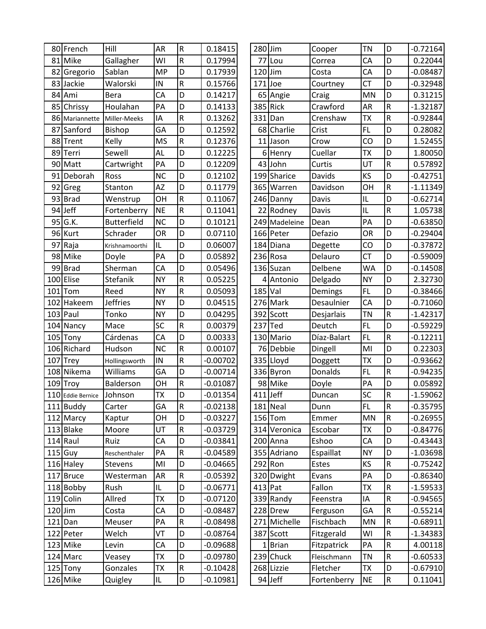|     | 80 French         | Hill               | <b>AR</b>       | ${\sf R}$      | 0.18415    | 280 Jim    |                         | Cooper                  | <b>TN</b>       | D                                    | $-0.72164$ |
|-----|-------------------|--------------------|-----------------|----------------|------------|------------|-------------------------|-------------------------|-----------------|--------------------------------------|------------|
| 81  | Mike              | Gallagher          | WI              | ${\sf R}$      | 0.17994    | 77         | Lou                     | Correa                  | CA              | D                                    | 0.22044    |
| 82  | Gregorio          | Sablan             | <b>MP</b>       | D              | 0.17939    | $120$ Jim  |                         | Costa                   | CA              | D                                    | $-0.08487$ |
| 83  | Jackie            | Walorski           | IN              | $\sf R$        | 0.15766    | 171        | Joe                     | Courtney                | <b>CT</b>       | D                                    | $-0.32948$ |
|     | 84 Ami            | Bera               | <b>CA</b>       | D              | 0.14217    |            | 65 Angie                | Craig                   | MN              | D                                    | 0.31215    |
| 85  | Chrissy           | Houlahan           | PA              | D              | 0.14133    |            | 385 Rick                | Crawford                | AR              | $\overline{\mathsf{R}}$              | $-1.32187$ |
|     | 86 Mariannette    | Miller-Meeks       | IA              | $\mathsf R$    | 0.13262    | 331        | Dan                     | Crenshaw                | ТX              | $\mathsf R$                          | $-0.92844$ |
| 87  | Sanford           | <b>Bishop</b>      | GA              | D              | 0.12592    |            | 68 Charlie              | Crist                   | <b>FL</b>       | D                                    | 0.28082    |
| 88  | Trent             | Kelly              | <b>MS</b>       | ${\sf R}$      | 0.12376    | 11         | Jason                   | Crow                    | CO              | D                                    | 1.52455    |
| 89  | Terri             | Sewell             | <b>AL</b>       | D              | 0.12225    |            | 6 Henry                 | Cuellar                 | ТX              | D                                    | 1.80050    |
| 90  | Matt              | Cartwright         | PA              | D              | 0.12209    |            | 43 John                 | Curtis                  | UT              | $\overline{\mathsf{R}}$              | 0.57892    |
| 91  | Deborah           | Ross               | <b>NC</b>       | D              | 0.12102    |            | 199 Sharice             | Davids                  | KS              | D                                    | $-0.42751$ |
| 92  | Greg              | Stanton            | AZ              | D              | 0.11779    |            | 365 Warren              | Davidson                | OH              | $\mathsf R$                          | $-1.11349$ |
|     | 93 Brad           | Wenstrup           | OH              | ${\sf R}$      | 0.11067    |            | 246 Danny               | Davis                   | IL              | D                                    | $-0.62714$ |
| 94  | Jeff              | Fortenberry        | <b>NE</b>       | ${\sf R}$      | 0.11041    |            | 22 Rodney               | Davis                   | IL              | $\mathsf R$                          | 1.05738    |
| 95  | G.K.              | <b>Butterfield</b> | <b>NC</b>       | D              | 0.10121    |            | 249 Madeleine           | Dean                    | PA              | D                                    | $-0.63850$ |
|     | 96 Kurt           | Schrader           | <b>OR</b>       | D              | 0.07110    |            | 166 Peter               | Defazio                 | <b>OR</b>       | D                                    | $-0.29404$ |
| 97  | Raja              | Krishnamoorthi     | IL              | D              | 0.06007    |            | 184 Diana               | Degette                 | CO              | D                                    | $-0.37872$ |
| 98  | Mike              | Doyle              | PA              | D              | 0.05892    |            | 236 Rosa                | Delauro                 | <b>CT</b>       | D                                    | $-0.59009$ |
| 99  | <b>Brad</b>       | Sherman            | CA              | D              | 0.05496    |            | 136 Suzan               | Delbene                 | WA              | D                                    | $-0.14508$ |
|     | 100 Elise         | Stefanik           | <b>NY</b>       | ${\sf R}$      | 0.05225    |            | 4 Antonio               | Delgado                 | <b>NY</b>       | D                                    | 2.32730    |
| 101 | Tom               | Reed               | <b>NY</b>       | ${\sf R}$      | 0.05093    | 185 Val    |                         | Demings                 | <b>FL</b>       | D                                    | $-0.38466$ |
| 102 | Hakeem            | <b>Jeffries</b>    | <b>NY</b>       | D              | 0.04515    |            | 276 Mark                | Desaulnier              | CA              | D                                    | $-0.71060$ |
|     | $103$ Paul        | Tonko              | <b>NY</b>       | D              | 0.04295    |            | 392 Scott               | Desjarlais              | <b>TN</b>       | $\mathsf R$                          | $-1.42317$ |
|     | 104 Nancy         | Mace               | SC              | R              | 0.00379    | 237        | Ted                     | Deutch                  | <b>FL</b>       | D                                    | $-0.59229$ |
|     | 105 Tony          | Cárdenas           | CA              | D              | 0.00333    |            | 130 Mario               | Díaz-Balart             | <b>FL</b>       | $\mathsf R$                          | $-0.12211$ |
|     | 106 Richard       | Hudson             | <b>NC</b>       | $\overline{R}$ | 0.00107    |            | 76 Debbie               | Dingell                 | MI              | D                                    | 0.22303    |
| 107 | Trey              | Hollingsworth      | IN              | ${\sf R}$      | $-0.00702$ |            | 335 Lloyd               | Doggett                 | TХ              | D                                    | $-0.93662$ |
|     | 108 Nikema        | Williams           | GA              | D              | $-0.00714$ |            | 336 Byron               | Donalds                 | <b>FL</b>       | $\mathsf R$                          | $-0.94235$ |
|     | 109 Troy          | Balderson          | OH              | R              | $-0.01087$ |            | 98 Mike                 | Doyle                   | PA              | D                                    | 0.05892    |
|     | 110 Eddie Bernice | Johnson            | <b>ΤΧ</b>       | D              | $-0.01354$ | $411$ Jeff |                         | Duncan                  | SC              | $\mathsf R$                          | $-1.59062$ |
|     | 111 Buddy         | Carter             | GA              | ${\sf R}$      | $-0.02138$ |            | 181 Neal                | Dunn                    | FL              | ${\sf R}$                            | $-0.35795$ |
|     | 112 Marcy         | Kaptur             | OH              | D              | $-0.03227$ |            | $156$ Tom               | Emmer                   | <b>MN</b>       | $\mathsf R$                          | $-0.26955$ |
|     | 113 Blake         | Moore              | UT              | ${\sf R}$      | $-0.03729$ |            | 314 Veronica            | Escobar                 | TX              | D                                    | $-0.84776$ |
|     | 114 Raul          | Ruiz               | CA              | D              | $-0.03841$ |            | 200 Anna                | Eshoo                   | CA              | D                                    | $-0.43443$ |
|     | $115$ Guy         | Reschenthaler      | PA              | R              | $-0.04589$ |            | 355 Adriano             | Espaillat               | <b>NY</b>       | D                                    | $-1.03698$ |
|     | 116 Haley         | <b>Stevens</b>     | MI              | D              | $-0.04665$ |            | $292$ Ron               | Estes                   | KS              | $\mathsf R$                          | $-0.75242$ |
|     | 117 Bruce         | Westerman          | AR              | ${\sf R}$      | $-0.05392$ |            | 320 Dwight              | Evans                   | PA              | D                                    | $-0.86340$ |
|     | 118 Bobby         | Rush               | IL              | D              | $-0.06771$ | $413$ Pat  |                         | Fallon                  | <b>TX</b>       | $\mathsf R$                          | $-1.59533$ |
|     | 119 Colin         | Allred             | <b>TX</b>       | D              | $-0.07120$ |            | 339 Randy               | Feenstra                | IA              | ${\sf R}$                            | $-0.94565$ |
|     | $120$ Jim         | Costa              | CA              | D              | $-0.08487$ |            | 228 Drew                | Ferguson                | GA              | $\mathsf R$<br>$\mathsf R$           | $-0.55214$ |
|     | $121$ Dan         | Meuser             | PA              | R              | $-0.08498$ |            | 271 Michelle            | Fischbach               | MN              |                                      | $-0.68911$ |
|     | 122 Peter         | Welch              | VT              | D<br>D         | $-0.08764$ |            | 387 Scott               | Fitzgerald              | WI              | ${\sf R}$<br>$\overline{\mathsf{R}}$ | $-1.34383$ |
|     | 123 Mike          | Levin              | CA<br><b>ΤX</b> | D              | $-0.09688$ | 1          | Brian                   | Fitzpatrick             | PA<br><b>TN</b> | ${\sf R}$                            | 4.00118    |
|     | 124 Marc          | Veasey             | <b>TX</b>       | ${\sf R}$      | $-0.09780$ |            | 239 Chuck<br>268 Lizzie | Fleischmann<br>Fletcher |                 | D                                    | $-0.60533$ |
|     | 125 Tony          | Gonzales           |                 |                | $-0.10428$ |            |                         |                         | TX              |                                      | $-0.67910$ |
|     | 126 Mike          | Quigley            | IL              | D              | $-0.10981$ |            | 94 Jeff                 | Fortenberry             | <b>NE</b>       | ${\sf R}$                            | 0.11041    |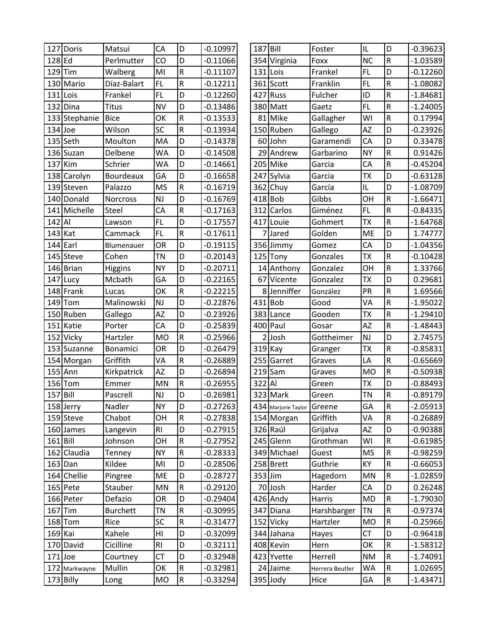|            | 127 Doris     | Matsui          | CA        | D            | $-0.10997$ | 187 Bill  |                     | Foster          | IL        | D                       | $-0.39623$ |
|------------|---------------|-----------------|-----------|--------------|------------|-----------|---------------------|-----------------|-----------|-------------------------|------------|
| 128 Ed     |               | Perlmutter      | CO        | D            | $-0.11066$ |           | 354 Virginia        | Foxx            | <b>NC</b> | ${\sf R}$               | $-1.03589$ |
| 129        | Tim           | Walberg         | MI        | ${\sf R}$    | $-0.11107$ | 131 Lois  |                     | Frankel         | <b>FL</b> | D                       | $-0.12260$ |
| 130        | Mario         | Díaz-Balart     | <b>FL</b> | ${\sf R}$    | $-0.12211$ |           | 361 Scott           | Franklin        | <b>FL</b> | ${\sf R}$               | $-1.08082$ |
| 131        | Lois          | Frankel         | <b>FL</b> | D            | $-0.12260$ |           | 427 Russ            | Fulcher         | ID        | ${\sf R}$               | $-1.84681$ |
| 132        | Dina          | <b>Titus</b>    | <b>NV</b> | D            | $-0.13486$ | 380       | Matt                | Gaetz           | <b>FL</b> | $\overline{\mathsf{R}}$ | $-1.24005$ |
|            | 133 Stephanie | <b>Bice</b>     | OK        | ${\sf R}$    | $-0.13533$ | 81        | Mike                | Gallagher       | WI        | ${\sf R}$               | 0.17994    |
| 134        | Joe           | Wilson          | SC        | $\mathsf{R}$ | $-0.13934$ |           | 150 Ruben           | Gallego         | ΑZ        | D                       | $-0.23926$ |
|            | 135 Seth      | Moulton         | MA        | D            | $-0.14378$ |           | 60John              | Garamendi       | CA        | D                       | 0.33478    |
|            | 136 Suzan     | Delbene         | <b>WA</b> | D            | $-0.14508$ |           | 29 Andrew           | Garbarino       | <b>NY</b> | $\mathsf R$             | 0.91426    |
| 137        | Kim           | Schrier         | <b>WA</b> | D            | $-0.14661$ | 205       | Mike                | Garcia          | CA        | ${\sf R}$               | $-0.45204$ |
|            | 138 Carolyn   | Bourdeaux       | GA        | D            | $-0.16658$ |           | 247 Sylvia          | Garcia          | <b>TX</b> | D                       | $-0.63128$ |
|            | 139 Steven    | Palazzo         | <b>MS</b> | $\mathsf{R}$ | $-0.16719$ |           | 362 Chuy            | García          | IL        | D                       | $-1.08709$ |
|            | 140 Donald    | Norcross        | <b>NJ</b> | D            | $-0.16769$ |           | $418$ Bob           | Gibbs           | OH        | ${\sf R}$               | $-1.66471$ |
|            | 141 Michelle  | <b>Steel</b>    | CA        | ${\sf R}$    | $-0.17163$ | 312       | Carlos              | Giménez         | FL        | ${\sf R}$               | $-0.84335$ |
| 142 Al     |               | Lawson          | <b>FL</b> | D            | $-0.17557$ | 417       | Louie               | Gohmert         | ТX        | ${\sf R}$               | $-1.64768$ |
|            | $143$ Kat     | Cammack         | FL.       | ${\sf R}$    | $-0.17611$ |           | Jared               | Golden          | ME        | D                       | 1.74777    |
| 144        | Earl          | Blumenauer      | <b>OR</b> | D            | $-0.19115$ |           | 356 Jimmy           | Gomez           | CA        | D                       | $-1.04356$ |
|            | 145 Steve     | Cohen           | <b>TN</b> | D            | $-0.20143$ |           | 125 Tony            | Gonzales        | ТX        | ${\sf R}$               | $-0.10428$ |
|            | 146 Brian     | Higgins         | <b>NY</b> | D            | $-0.20711$ |           | 14 Anthony          | Gonzalez        | OH        | $\overline{R}$          | 1.33766    |
|            | 147 Lucy      | Mcbath          | GA        | D            | $-0.22165$ |           | 67 Vicente          | Gonzalez        | <b>ΤX</b> | D                       | 0.29681    |
|            | 148 Frank     | Lucas           | OK        | ${\sf R}$    | $-0.22215$ |           | 8 Jenniffer         | González        | PR        | ${\sf R}$               | 1.69566    |
| 149        | Tom           | Malinowski      | <b>NJ</b> | D            | $-0.22876$ | 431       | <b>Bob</b>          | Good            | VA        | ${\sf R}$               | $-1.95022$ |
|            | 150 Ruben     | Gallego         | <b>AZ</b> | D            | $-0.23926$ | 383       | Lance               | Gooden          | <b>ΤX</b> | ${\sf R}$               | $-1.29410$ |
| 151        | Katie         | Porter          | CA        | D            | $-0.25839$ | 400       | Paul                | Gosar           | AZ        | R                       | $-1.48443$ |
|            | 152 Vicky     | Hartzler        | <b>MO</b> | ${\sf R}$    | $-0.25966$ |           | $2$ Josh            | Gottheimer      | NJ        | D                       | 2.74575    |
|            | 153 Suzanne   | Bonamici        | <b>OR</b> | D            | $-0.26479$ | 319 Kay   |                     | Granger         | <b>ΤX</b> | ${\sf R}$               | $-0.85831$ |
|            | 154 Morgan    | Griffith        | VA        | ${\sf R}$    | $-0.26889$ | 255       | Garret              | Graves          | LA        | ${\sf R}$               | $-0.65669$ |
|            | 155 Ann       | Kirkpatrick     | <b>AZ</b> | D            | $-0.26894$ |           | $219$ Sam           | Graves          | <b>MO</b> | ${\sf R}$               | $-0.50938$ |
| 156        | Tom           | Emmer           | MN        | ${\sf R}$    | $-0.26955$ | 322 Al    |                     | Green           | ТX        | D                       | $-0.88493$ |
| $157$ Bill |               | Pascrell        | NJ        | D            | $-0.26981$ |           | 323 Mark            | Green           | <b>TN</b> | $\overline{\mathsf{R}}$ | $-0.89179$ |
|            | 158 Jerry     | Nadler          | <b>NY</b> | D            | $-0.27263$ |           | 434 Marjorie Taylor | Greene          | GA        | $\overline{\mathsf{R}}$ | $-2.05913$ |
|            | 159 Steve     | Chabot          | OH        | ${\sf R}$    | $-0.27838$ |           | 154 Morgan          | Griffith        | VA        | ${\sf R}$               | $-0.26889$ |
|            | 160 James     | Langevin        | <b>RI</b> | D            | $-0.27915$ |           | 326 Raúl            | Grijalva        | ΑZ        | D                       | $-0.90388$ |
| $161$ Bill |               | Johnson         | OH        | ${\sf R}$    | $-0.27952$ |           | 245 Glenn           | Grothman        | WI        | ${\sf R}$               | $-0.61985$ |
|            | 162 Claudia   | Tenney          | <b>NY</b> | ${\sf R}$    | $-0.28333$ |           | 349 Michael         | Guest           | <b>MS</b> | ${\sf R}$               | $-0.98259$ |
|            | $163$ Dan     | Kildee          | MI        | D            | $-0.28506$ |           | 258 Brett           | Guthrie         | KY        | $\mathsf R$             | $-0.66053$ |
|            | 164 Chellie   | Pingree         | ME        | D            | $-0.28727$ | $353$ Jim |                     | Hagedorn        | <b>MN</b> | ${\sf R}$               | $-1.02859$ |
|            | 165 Pete      | Stauber         | MN        | ${\sf R}$    | $-0.29120$ |           | 70 Josh             | Harder          | CA        | D                       | 0.26248    |
|            | 166 Peter     | Defazio         | <b>OR</b> | D            | $-0.29404$ |           | $426$ Andy          | Harris          | <b>MD</b> | ${\sf R}$               | $-1.79030$ |
| 167        | Tim           | <b>Burchett</b> | <b>TN</b> | ${\sf R}$    | $-0.30995$ |           | 347 Diana           | Harshbarger     | <b>TN</b> | ${\sf R}$               | $-0.97374$ |
|            | $168$ Tom     | Rice            | SC        | ${\sf R}$    | $-0.31477$ |           | 152 Vicky           | Hartzler        | <b>MO</b> | ${\sf R}$               | $-0.25966$ |
| 169 Kai    |               | Kahele          | HI        | D            | $-0.32099$ |           | 344 Jahana          | Hayes           | <b>CT</b> | D                       | $-0.96418$ |
|            | 170 David     | Cicilline       | RI        | D            | $-0.32111$ |           | 408 Kevin           | Hern            | OK        | ${\sf R}$               | $-1.58312$ |
|            | $171$ Joe     | Courtney        | <b>CT</b> | D            | $-0.32948$ |           | 423 Yvette          | Herrell         | <b>NM</b> | ${\sf R}$               | $-1.74091$ |
|            | 172 Markwayne | Mullin          | OK        | ${\sf R}$    | $-0.32981$ |           | 24 Jaime            | Herrera Beutler | WA        | ${\sf R}$               | 1.02695    |
|            | 173 Billy     | Long            | MO        | ${\sf R}$    | $-0.33294$ |           | $395$ Jody          | Hice            | GA        | ${\sf R}$               | $-1.43471$ |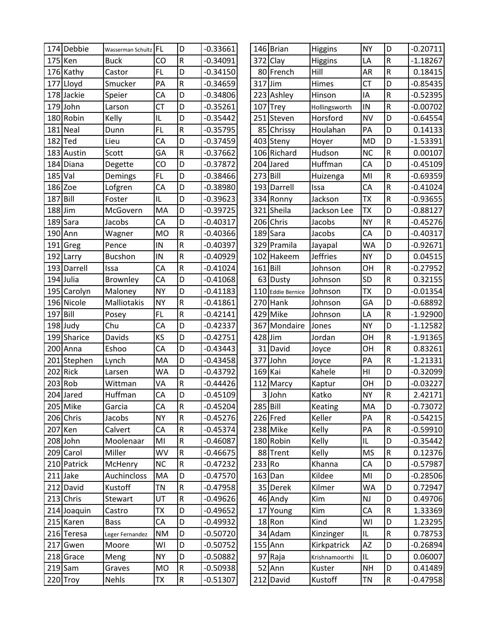|           | 174 Debbie  | Wasserman Schultz FL |           | D                       | $-0.33661$ |           | 146 Brian         | Higgins         | <b>NY</b>                         | D              | $-0.20711$ |
|-----------|-------------|----------------------|-----------|-------------------------|------------|-----------|-------------------|-----------------|-----------------------------------|----------------|------------|
|           | 175 Ken     | <b>Buck</b>          | CO        | ${\sf R}$               | $-0.34091$ |           | 372 Clay          | Higgins         | LA                                | ${\sf R}$      | $-1.18267$ |
|           | 176 Kathy   | Castor               | <b>FL</b> | D                       | $-0.34150$ |           | 80 French         | Hill            | AR                                | $\sf R$        | 0.18415    |
| 177       | Lloyd       | Smucker              | PA        | $\mathsf R$             | $-0.34659$ | 317 Jim   |                   | Himes           | <b>CT</b>                         | D              | $-0.85435$ |
| 178       | Jackie      | Speier               | CA        | D                       | $-0.34806$ |           | 223 Ashley        | Hinson          | IA                                | $\sf R$        | $-0.52395$ |
| 179       | John        | Larson               | <b>CT</b> | D                       | $-0.35261$ |           | $107$ Trey        | Hollingsworth   | IN                                | R              | $-0.00702$ |
|           | 180 Robin   | Kelly                | IL        | D                       | $-0.35442$ |           | 251 Steven        | Horsford        | <b>NV</b>                         | D              | $-0.64554$ |
| 181       | <b>Neal</b> | Dunn                 | <b>FL</b> | R                       | $-0.35795$ |           | 85 Chrissy        | Houlahan        | PA                                | D              | 0.14133    |
| 182       | Ted         | Lieu                 | CA        | D                       | $-0.37459$ |           | 403 Steny         | Hoyer           | <b>MD</b>                         | D              | $-1.53391$ |
|           | 183 Austin  | Scott                | GA        | ${\sf R}$               | $-0.37662$ |           | 106 Richard       | Hudson          | <b>NC</b>                         | ${\sf R}$      | 0.00107    |
| 184       | Diana       | Degette              | CO        | D                       | $-0.37872$ |           | 204 Jared         | Huffman         | CA                                | D              | $-0.45109$ |
| 185       | Val         | Demings              | FL        | D                       | $-0.38466$ | 273 Bill  |                   | Huizenga        | MI                                | $\mathsf R$    | $-0.69359$ |
|           | 186 Zoe     | Lofgren              | CA        | D                       | $-0.38980$ |           | 193 Darrell       | Issa            | CA                                | $\sf R$        | $-0.41024$ |
| 187       | Bill        | Foster               | IL        | D                       | $-0.39623$ |           | 334 Ronny         | Jackson         | <b>ΤX</b>                         | ${\sf R}$      | $-0.93655$ |
| $188$ Jim |             | McGovern             | MA        | D                       | $-0.39725$ |           | 321 Sheila        | Jackson Lee     | <b>TX</b>                         | D              | $-0.88127$ |
| 189       | Sara        | Jacobs               | CA        | D                       | $-0.40317$ |           | 206 Chris         | Jacobs          | <b>NY</b>                         | ${\sf R}$      | $-0.45276$ |
| 190       | Ann         | Wagner               | <b>MO</b> | $\mathsf R$             | $-0.40366$ |           | 189 Sara          | Jacobs          | CA                                | D              | $-0.40317$ |
| 191       | Greg        | Pence                | IN        | R                       | $-0.40397$ |           | 329 Pramila       | Jayapal         | <b>WA</b>                         | D              | $-0.92671$ |
| 192       | Larry       | <b>Bucshon</b>       | IN        | R                       | $-0.40929$ |           | 102 Hakeem        | <b>Jeffries</b> | <b>NY</b>                         | D              | 0.04515    |
|           | 193 Darrell | Issa                 | CA        | R                       | $-0.41024$ | 161 Bill  |                   | Johnson         | OH                                | $\mathsf R$    | $-0.27952$ |
| 194       | Julia       | Brownley             | CA        | D                       | $-0.41068$ |           | 63 Dusty          | Johnson         | SD                                | ${\sf R}$      | 0.32155    |
| 195       | Carolyn     | Maloney              | <b>NY</b> | D                       | $-0.41183$ |           | 110 Eddie Bernice | Johnson         | <b>ΤX</b>                         | D              | $-0.01354$ |
| 196       | Nicole      | Malliotakis          | <b>NY</b> | $\overline{\mathsf{R}}$ | $-0.41861$ |           | $270$ Hank        | Johnson         | GA                                | $\overline{D}$ | $-0.68892$ |
| 197       | Bill        | Posey                | <b>FL</b> | R                       | $-0.42141$ |           | 429 Mike          | Johnson         | LA                                | ${\sf R}$      | $-1.92900$ |
|           | 198 Judy    | Chu                  | CA        | D                       | $-0.42337$ |           | 367 Mondaire      | Jones           | <b>NY</b>                         | D              | $-1.12582$ |
|           | 199 Sharice | Davids               | KS        | D                       | $-0.42751$ | 428 Jim   |                   | Jordan          | OH                                | ${\sf R}$      | $-1.91365$ |
|           | 200 Anna    | Eshoo                | CA        | D                       | $-0.43443$ |           | 31 David          | Joyce           | OH                                | ${\sf R}$      | 0.83261    |
|           | 201 Stephen | Lynch                | MA        | D                       | $-0.43458$ |           | 377 John          | Joyce           | PA                                | ${\sf R}$      | $-1.21331$ |
| 202       | Rick        | Larsen               | WA        | D                       | $-0.43792$ | $169$ Kai |                   | Kahele          | H <sub>l</sub>                    | D              | $-0.32099$ |
| 203       | Rob         | Wittman              | VA        | ${\sf R}$               | $-0.44426$ |           | 112 Marcy         | Kaptur          | OH                                | D              | $-0.03227$ |
|           | 204 Jared   | Huffman              | CA        | D                       | $-0.45109$ |           | 3John             | Katko           | <b>NY</b>                         | $\mathsf R$    | 2.42171    |
|           | 205 Mike    | Garcia               | CA        | ${\sf R}$               | $-0.45204$ | 285 Bill  |                   | Keating         | MA                                | D              | $-0.73072$ |
|           | 206 Chris   | Jacobs               | <b>NY</b> | ${\sf R}$               | $-0.45276$ |           | 226 Fred          | Keller          | PA                                | ${\sf R}$      | $-0.54215$ |
|           | 207 Ken     | Calvert              | CA        | ${\sf R}$               | $-0.45374$ |           | 238 Mike          | Kelly           | PA                                | ${\sf R}$      | $-0.59910$ |
|           | 208 John    | Moolenaar            | MI        | ${\sf R}$               | $-0.46087$ |           | 180 Robin         | Kelly           | IL                                | D              | $-0.35442$ |
|           | 209 Carol   | Miller               | WV        | ${\sf R}$               | $-0.46675$ |           | 88 Trent          | Kelly           | <b>MS</b>                         | ${\sf R}$      | 0.12376    |
|           | 210 Patrick | McHenry              | NC        | ${\sf R}$               | $-0.47232$ | 233 Ro    |                   | Khanna          | СA                                | D              | $-0.57987$ |
|           | $211$ Jake  | Auchincloss          | MA        | D                       | $-0.47570$ |           | $163$ Dan         | Kildee          | MI                                | D              | $-0.28506$ |
|           | 212 David   | Kustoff              | <b>TN</b> | ${\sf R}$               | $-0.47958$ |           | 35 Derek          | Kilmer          | <b>WA</b>                         | D              | 0.72947    |
|           | 213 Chris   | Stewart              | UT        | ${\sf R}$               | $-0.49626$ |           | 46 Andy           | Kim             | NJ                                | D              | 0.49706    |
|           | 214 Joaquin | Castro               | ТX        | D                       | $-0.49652$ |           | 17 Young          | Kim             | CA                                | ${\sf R}$<br>D | 1.33369    |
|           | 215 Karen   | <b>Bass</b>          | CA        | D                       | $-0.49932$ |           | $18$ Ron          | Kind            | WI                                |                | 1.23295    |
|           | 216 Teresa  | Leger Fernandez      | <b>NM</b> | D                       | $-0.50720$ |           | 34 Adam           | Kinzinger       | $\ensuremath{\mathsf{IL}}\xspace$ | ${\sf R}$      | 0.78753    |
|           | 217 Gwen    | Moore                | WI        | D                       | $-0.50752$ |           | $155$ Ann         | Kirkpatrick     | AZ                                | D              | $-0.26894$ |
|           | 218 Grace   | Meng                 | <b>NY</b> | D                       | $-0.50882$ |           | 97 Raja           | Krishnamoorthi  | IL                                | D              | 0.06007    |
|           | $219$ Sam   | Graves               | <b>MO</b> | ${\sf R}$               | $-0.50938$ |           | $52$ Ann          | Kuster          | <b>NH</b>                         | D              | 0.41489    |
|           | 220 Troy    | Nehls                | TX        | ${\sf R}$               | $-0.51307$ |           | 212 David         | Kustoff         | TN                                | ${\sf R}$      | $-0.47958$ |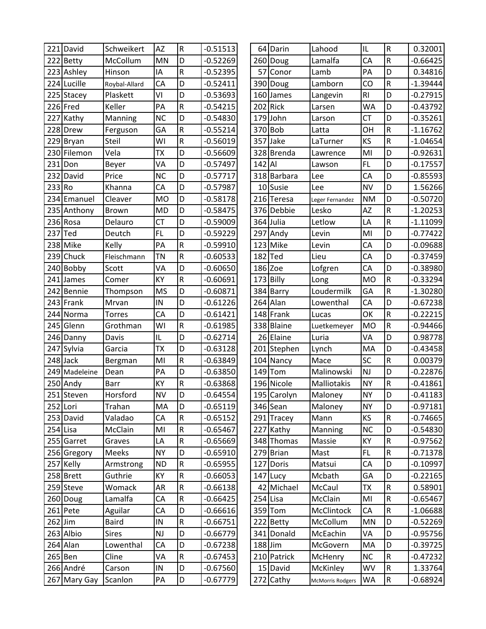|           | 221 David     | Schweikert    | <b>AZ</b> | $\mathsf R$ | $-0.51513$ |            | 64 Darin    | Lahood           | IL             | ${\sf R}$               | 0.32001    |
|-----------|---------------|---------------|-----------|-------------|------------|------------|-------------|------------------|----------------|-------------------------|------------|
|           | 222 Betty     | McCollum      | <b>MN</b> | D           | $-0.52269$ |            | 260 Doug    | Lamalfa          | CA             | ${\sf R}$               | $-0.66425$ |
|           | 223 Ashley    | Hinson        | IA        | R           | $-0.52395$ |            | 57 Conor    | Lamb             | PA             | D                       | 0.34816    |
|           | 224 Lucille   | Roybal-Allard | CA        | D           | $-0.52411$ |            | 390 Doug    | Lamborn          | CO             | R                       | $-1.39444$ |
|           | 225 Stacey    | Plaskett      | VI        | D           | $-0.53693$ |            | 160 James   | Langevin         | R <sub>l</sub> | D                       | $-0.27915$ |
|           | 226 Fred      | Keller        | PA        | R           | $-0.54215$ |            | $202$ Rick  | Larsen           | <b>WA</b>      | D                       | $-0.43792$ |
|           | 227 Kathy     | Manning       | <b>NC</b> | D           | $-0.54830$ |            | 179 John    | Larson           | <b>CT</b>      | D                       | $-0.35261$ |
|           | 228 Drew      | Ferguson      | GA        | R           | $-0.55214$ |            | 370 Bob     | Latta            | OH             | $\mathsf R$             | $-1.16762$ |
|           | 229 Bryan     | Steil         | WI        | $\sf R$     | $-0.56019$ |            | 357 Jake    | LaTurner         | KS             | ${\sf R}$               | $-1.04654$ |
|           | 230 Filemon   | Vela          | <b>TX</b> | D           | $-0.56609$ |            | 328 Brenda  | Lawrence         | MI             | D                       | $-0.92631$ |
| 231       | Don           | Beyer         | VA        | D           | $-0.57497$ | $142$ Al   |             | Lawson           | <b>FL</b>      | D                       | $-0.17557$ |
| 232       | David         | Price         | <b>NC</b> | D           | $-0.57717$ |            | 318 Barbara | Lee              | CA             | D                       | $-0.85593$ |
| 233 Ro    |               | Khanna        | CA        | D           | $-0.57987$ |            | 10 Susie    | Lee              | <b>NV</b>      | D                       | 1.56266    |
|           | 234 Emanuel   | Cleaver       | <b>MO</b> | D           | $-0.58178$ |            | 216 Teresa  | Leger Fernandez  | <b>NM</b>      | D                       | $-0.50720$ |
|           | 235 Anthony   | Brown         | <b>MD</b> | D           | $-0.58475$ |            | 376 Debbie  | Lesko            | ΑZ             | $\mathsf R$             | $-1.20253$ |
|           | 236 Rosa      | Delauro       | <b>CT</b> | D           | $-0.59009$ |            | 364 Julia   | Letlow           | LA             | R                       | $-1.11099$ |
| 237       | Ted           | Deutch        | FL        | D           | $-0.59229$ |            | 297 Andy    | Levin            | MI             | D                       | $-0.77422$ |
| 238       | Mike          | Kelly         | PA        | $\sf R$     | $-0.59910$ |            | 123 Mike    | Levin            | CA             | D                       | $-0.09688$ |
| 239       | Chuck         | Fleischmann   | <b>TN</b> | R           | $-0.60533$ | $182$ Ted  |             | Lieu             | CA             | D                       | $-0.37459$ |
|           | 240 Bobby     | Scott         | VA        | D           | $-0.60650$ | $186$ Zoe  |             | Lofgren          | CA             | D                       | $-0.38980$ |
|           | 241 James     | Comer         | KY        | $\sf R$     | $-0.60691$ |            | 173 Billy   | Long             | <b>MO</b>      | ${\sf R}$               | $-0.33294$ |
|           | 242 Bennie    | Thompson      | <b>MS</b> | D           | $-0.60871$ |            | 384 Barry   | Loudermilk       | GA             | ${\sf R}$               | $-1.30280$ |
|           | 243 Frank     | Mrvan         | IN        | D           | $-0.61226$ |            | $264$ Alan  | Lowenthal        | CA             | D                       | $-0.67238$ |
| 244       | Norma         | <b>Torres</b> | CA        | D           | $-0.61421$ |            | 148 Frank   | Lucas            | OK             | R                       | $-0.22215$ |
|           | 245 Glenn     | Grothman      | WI        | ${\sf R}$   | $-0.61985$ |            | 338 Blaine  | Luetkemeyer      | <b>MO</b>      | $\overline{\mathsf{R}}$ | $-0.94466$ |
|           | 246 Danny     | Davis         | IL        | D           | $-0.62714$ |            | 26 Elaine   | Luria            | VA             | D                       | 0.98778    |
|           | 247 Sylvia    | Garcia        | <b>TX</b> | D           | $-0.63128$ |            | 201 Stephen | Lynch            | MA             | D                       | $-0.43458$ |
|           | $248$ Jack    | Bergman       | MI        | R           | $-0.63849$ |            | 104 Nancy   | Mace             | SC             | R                       | 0.00379    |
|           | 249 Madeleine | Dean          | PA        | D           | $-0.63850$ |            | $149$ Tom   | Malinowski       | NJ             | D                       | $-0.22876$ |
|           | 250 Andy      | <b>Barr</b>   | KY        | ${\sf R}$   | $-0.63868$ |            | 196 Nicole  | Malliotakis      | <b>NY</b>      | ${\sf R}$               | $-0.41861$ |
|           | 251 Steven    | Horsford      | <b>NV</b> | D           | $-0.64554$ |            | 195 Carolyn | Maloney          | <b>NY</b>      | D                       | $-0.41183$ |
|           | 252 Lori      | Trahan        | MA        | D           | $-0.65119$ |            | 346 Sean    | Maloney          | <b>NY</b>      | D                       | $-0.97181$ |
|           | 253 David     | Valadao       | CA        | ${\sf R}$   | $-0.65152$ |            | 291 Tracey  | Mann             | KS             | ${\sf R}$               | $-0.74665$ |
|           | $254$ Lisa    | McClain       | MI        | ${\sf R}$   | $-0.65467$ |            | 227 Kathy   | Manning          | <b>NC</b>      | D                       | $-0.54830$ |
|           | 255 Garret    | Graves        | LA        | R           | $-0.65669$ |            | 348 Thomas  | Massie           | КY             | R                       | $-0.97562$ |
|           | 256 Gregory   | <b>Meeks</b>  | <b>NY</b> | D           | $-0.65910$ |            | 279 Brian   | Mast             | FL             | R                       | $-0.71378$ |
|           | 257 Kelly     | Armstrong     | <b>ND</b> | R           | $-0.65955$ |            | 127 Doris   | Matsui           | CA             | D                       | $-0.10997$ |
|           | 258 Brett     | Guthrie       | KY        | ${\sf R}$   | $-0.66053$ |            | 147 Lucy    | Mcbath           | GA             | D                       | $-0.22165$ |
|           | 259 Steve     | Womack        | <b>AR</b> | ${\sf R}$   | $-0.66138$ |            | 42 Michael  | McCaul           | <b>TX</b>      | ${\sf R}$               | 0.58901    |
|           | 260 Doug      | Lamalfa       | CA        | ${\sf R}$   | $-0.66425$ | $254$ Lisa |             | McClain          | MI             | R                       | $-0.65467$ |
|           | 261 Pete      | Aguilar       | CA        | D           | $-0.66616$ |            | 359 Tom     | McClintock       | CA             | R                       | $-1.06688$ |
| $262$ Jim |               | <b>Baird</b>  | IN        | R           | $-0.66751$ |            | 222 Betty   | McCollum         | <b>MN</b>      | D                       | $-0.52269$ |
|           | 263 Albio     | <b>Sires</b>  | NJ        | D           | $-0.66779$ |            | 341 Donald  | McEachin         | VA             | D                       | $-0.95756$ |
|           | 264 Alan      | Lowenthal     | CA        | D           | $-0.67238$ | $188$ Jim  |             | McGovern         | MA             | D                       | $-0.39725$ |
|           | $265$ Ben     | Cline         | VA        | ${\sf R}$   | $-0.67453$ |            | 210 Patrick | McHenry          | <b>NC</b>      | R                       | $-0.47232$ |
|           | 266 André     | Carson        | IN        | D           | $-0.67560$ |            | 15 David    | McKinley         | WV             | ${\sf R}$               | 1.33764    |
|           | 267 Mary Gay  | Scanlon       | PA        | D           | $-0.67779$ |            | 272 Cathy   | McMorris Rodgers | <b>WA</b>      | ${\sf R}$               | $-0.68924$ |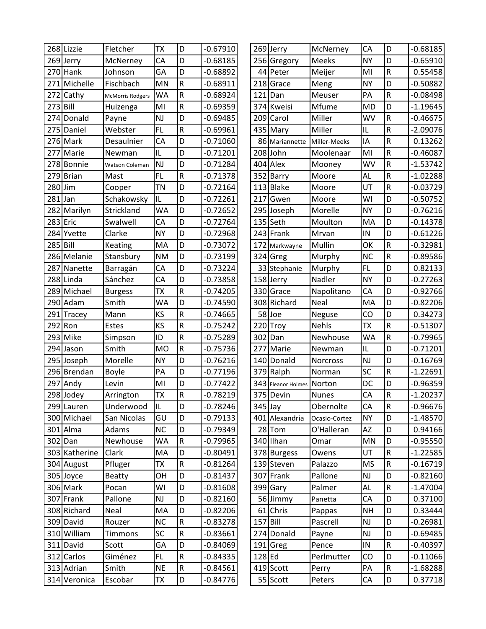|          | 268 Lizzie    | Fletcher                | <b>TX</b> | D              | $-0.67910$ |            | 269 Jerry          | McNerney      | CA            | D                       | $-0.68185$ |
|----------|---------------|-------------------------|-----------|----------------|------------|------------|--------------------|---------------|---------------|-------------------------|------------|
|          | 269 Jerry     | McNerney                | CA        | D              | $-0.68185$ |            | 256 Gregory        | Meeks         | <b>NY</b>     | D                       | $-0.65910$ |
|          | 270 Hank      | Johnson                 | GA        | D              | $-0.68892$ |            | 44 Peter           | Meijer        | MI            | ${\sf R}$               | 0.55458    |
| 271      | Michelle      | Fischbach               | <b>MN</b> | ${\sf R}$      | $-0.68911$ | 218        | Grace              | Meng          | <b>NY</b>     | D                       | $-0.50882$ |
| 272      | Cathy         | <b>McMorris Rodgers</b> | <b>WA</b> | ${\sf R}$      | $-0.68924$ | 121        | Dan                | Meuser        | PA            | ${\sf R}$               | $-0.08498$ |
| 273      | Bill          | Huizenga                | MI        | ${\sf R}$      | $-0.69359$ | 374        | Kweisi             | Mfume         | <b>MD</b>     | D                       | $-1.19645$ |
| 274      | Donald        | Payne                   | NJ        | D              | $-0.69485$ |            | 209 Carol          | Miller        | WV            | R                       | $-0.46675$ |
| 275      | Daniel        | Webster                 | FL        | $\mathsf R$    | $-0.69961$ | 435        | Mary               | Miller        | IL            | ${\sf R}$               | $-2.09076$ |
|          | 276 Mark      | Desaulnier              | CA        | D              | $-0.71060$ |            | 86 Mariannette     | Miller-Meeks  | IA            | ${\sf R}$               | 0.13262    |
| 277      | Marie         | Newman                  | IL        | D              | $-0.71201$ |            | 208 John           | Moolenaar     | MI            | ${\sf R}$               | $-0.46087$ |
|          | 278 Bonnie    | Watson Coleman          | NJ        | D              | $-0.71284$ | 404        | Alex               | Mooney        | WV            | ${\sf R}$               | $-1.53742$ |
| 279      | <b>Brian</b>  | Mast                    | <b>FL</b> | ${\sf R}$      | $-0.71378$ | 352        | Barry              | Moore         | AL            | ${\sf R}$               | $-1.02288$ |
| 280      | Jim           | Cooper                  | <b>TN</b> | D              | $-0.72164$ | 113        | <b>Blake</b>       | Moore         | UT            | R                       | -0.03729   |
| 281      | Jan           | Schakowsky              | IL        | D              | $-0.72261$ | 217        | Gwen               | Moore         | WI            | D                       | $-0.50752$ |
|          | 282 Marilyn   | Strickland              | <b>WA</b> | D              | $-0.72652$ |            | 295 Joseph         | Morelle       | <b>NY</b>     | D                       | $-0.76216$ |
|          | 283 Eric      | Swalwell                | CA        | D              | $-0.72764$ |            | 135 Seth           | Moulton       | MA            | D                       | $-0.14378$ |
|          | 284 Yvette    | Clarke                  | <b>NY</b> | D              | $-0.72968$ |            | 243 Frank          | Mrvan         | IN            | D                       | $-0.61226$ |
| 285 Bill |               | Keating                 | MA        | D              | $-0.73072$ |            | 172 Markwayne      | Mullin        | OK            | ${\sf R}$               | $-0.32981$ |
|          | 286 Melanie   | Stansbury               | <b>NM</b> | D              | $-0.73199$ |            | 324 Greg           | Murphy        | <b>NC</b>     | ${\sf R}$               | $-0.89586$ |
| 287      | Nanette       | Barragán                | CA        | D              | $-0.73224$ |            | 33 Stephanie       | Murphy        | FL.           | D                       | 0.82133    |
|          | 288 Linda     | Sánchez                 | CA        | D              | $-0.73858$ |            | 158 Jerry          | Nadler        | <b>NY</b>     | D                       | $-0.27263$ |
|          | 289 Michael   | <b>Burgess</b>          | <b>ΤΧ</b> | ${\sf R}$      | $-0.74205$ |            | 330 Grace          | Napolitano    | CA            | D                       | $-0.92766$ |
|          | 290 Adam      | Smith                   | WA        | D              | $-0.74590$ | 308        | Richard            | Neal          | MA            | D                       | $-0.82206$ |
| 291      | Tracey        | Mann                    | KS        | ${\sf R}$      | $-0.74665$ |            | 58Joe              | Neguse        | CO            | D                       | 0.34273    |
| 292      | Ron           | Estes                   | KS        | ${\sf R}$      | $-0.75242$ | 220        | Troy               | <b>Nehls</b>  | ТX            | $\mathsf R$             | $-0.51307$ |
|          | 293 Mike      | Simpson                 | ID        | $\mathsf R$    | $-0.75289$ | 302        | Dan                | Newhouse      | WA            | R                       | $-0.79965$ |
| 294      | Jason         | Smith                   | <b>MO</b> | $\overline{R}$ | $-0.75736$ | 277        | Marie              | Newman        | IL            | D                       | $-0.71201$ |
|          | 295 Joseph    | Morelle                 | <b>NY</b> | D              | $-0.76216$ | 140        | Donald             | Norcross      | <b>NJ</b>     | D                       | $-0.16769$ |
|          | 296 Brendan   | <b>Boyle</b>            | PA        | D              | $-0.77196$ |            | 379 Ralph          | Norman        | SC            | ${\sf R}$               | $-1.22691$ |
| 297      | Andy          | Levin                   | MI        | D              | $-0.77422$ |            | 343 Eleanor Holmes | Norton        | DC            | D                       | $-0.96359$ |
|          | 298 Jodey     | Arrington               | <b>ΤΧ</b> | ${\sf R}$      | $-0.78219$ |            | 375 Devin          | <b>Nunes</b>  | CA            | ${\sf R}$               | $-1.20237$ |
|          | 299 Lauren    | Underwood               | IL        | D              | $-0.78246$ | 345 Jay    |                    | Obernolte     | CA            | $\overline{\mathsf{R}}$ | $-0.96676$ |
|          | 300 Michael   | San Nicolas             | GU        | D              | $-0.79133$ |            | 401 Alexandria     | Ocasio-Cortez | <b>NY</b>     | D                       | $-1.48570$ |
|          | 301 Alma      | Adams                   | <b>NC</b> | D              | $-0.79349$ |            | 28 Tom             | O'Halleran    | AZ            | D                       | 0.94166    |
|          | 302 Dan       | Newhouse                | <b>WA</b> | ${\sf R}$      | $-0.79965$ |            | 340 Ilhan          | Omar          | <b>MN</b>     | D                       | $-0.95550$ |
|          | 303 Katherine | Clark                   | MA        | D              | $-0.80491$ |            | 378 Burgess        | Owens         | UT            | ${\sf R}$               | $-1.22585$ |
|          | 304 August    | Pfluger                 | TX        | ${\sf R}$      | $-0.81264$ |            | 139 Steven         | Palazzo       | <b>MS</b>     | ${\sf R}$               | $-0.16719$ |
|          | 305 Joyce     | <b>Beatty</b>           | OH        | D              | $-0.81437$ |            | 307 Frank          | Pallone       | $\mathsf{NJ}$ | D                       | $-0.82160$ |
|          | 306 Mark      | Pocan                   | WI        | D              | $-0.81608$ |            | 399 Gary           | Palmer        | AL            | ${\sf R}$               | $-1.47004$ |
|          | 307 Frank     | Pallone                 | <b>NJ</b> | D              | $-0.82160$ |            | 56 Jimmy           | Panetta       | CA            | D                       | 0.37100    |
|          | 308 Richard   | Neal                    | MA        | D              | $-0.82206$ |            | 61 Chris           | Pappas        | <b>NH</b>     | D                       | 0.33444    |
|          | 309 David     | Rouzer                  | <b>NC</b> | R              | $-0.83278$ | $157$ Bill |                    | Pascrell      | <b>NJ</b>     | D                       | $-0.26981$ |
|          | 310 William   | Timmons                 | SC        | ${\sf R}$      | $-0.83661$ |            | 274 Donald         | Payne         | $\mathsf{NJ}$ | D                       | $-0.69485$ |
|          | 311 David     | Scott                   | GA        | D              | $-0.84069$ |            | $191$ Greg         | Pence         | $\sf IN$      | ${\sf R}$               | $-0.40397$ |
|          | 312 Carlos    | Giménez                 | FL.       | ${\sf R}$      | $-0.84335$ | 128 Ed     |                    | Perlmutter    | CO            | D                       | $-0.11066$ |
|          | 313 Adrian    | Smith                   | <b>NE</b> | ${\sf R}$      | $-0.84561$ |            | $419$ Scott        | Perry         | PA            | ${\sf R}$               | $-1.68288$ |
|          | 314 Veronica  | Escobar                 | TX        | D              | $-0.84776$ |            | 55 Scott           | Peters        | CA            | D                       | 0.37718    |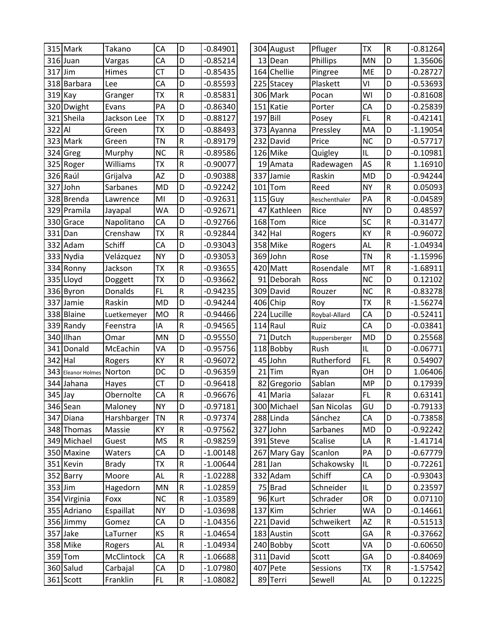|         | 315 Mark              | Takano       | CA        | D           | $-0.84901$ |           | 304 August   | Pfluger       | <b>ΤX</b> | $\mathsf R$             | $-0.81264$ |
|---------|-----------------------|--------------|-----------|-------------|------------|-----------|--------------|---------------|-----------|-------------------------|------------|
|         | $316$ Juan            | Vargas       | CA        | D           | $-0.85214$ |           | 13 Dean      | Phillips      | <b>MN</b> | D                       | 1.35606    |
| 317     | Jim                   | Himes        | <b>CT</b> | D           | $-0.85435$ |           | 164 Chellie  | Pingree       | ME        | D                       | $-0.28727$ |
|         | 318 Barbara           | Lee          | CA        | D           | $-0.85593$ |           | 225 Stacey   | Plaskett      | ٧I        | D                       | $-0.53693$ |
|         | 319 Kay               | Granger      | <b>TX</b> | ${\sf R}$   | $-0.85831$ |           | 306 Mark     | Pocan         | WI        | D                       | $-0.81608$ |
|         | 320 Dwight            | Evans        | PA        | D           | $-0.86340$ |           | 151 Katie    | Porter        | CA        | D                       | $-0.25839$ |
|         | 321 Sheila            | Jackson Lee  | <b>ΤΧ</b> | D           | $-0.88127$ | 197 Bill  |              | Posey         | FL        | $\mathsf R$             | $-0.42141$ |
| 322 Al  |                       | Green        | <b>ΤΧ</b> | D           | $-0.88493$ |           | 373 Ayanna   | Pressley      | MA        | D                       | $-1.19054$ |
|         | 323 Mark              | Green        | <b>TN</b> | $\mathsf R$ | $-0.89179$ |           | 232 David    | Price         | <b>NC</b> | D                       | $-0.57717$ |
|         | 324 Greg              | Murphy       | <b>NC</b> | $\mathsf R$ | $-0.89586$ |           | 126 Mike     | Quigley       | IL        | D                       | $-0.10981$ |
|         | 325 Roger             | Williams     | <b>ΤX</b> | ${\sf R}$   | $-0.90077$ |           | 19 Amata     | Radewagen     | AS        | $\mathsf R$             | 1.16910    |
|         | 326 Raúl              | Grijalva     | ΑZ        | D           | $-0.90388$ | 337       | Jamie        | Raskin        | <b>MD</b> | D                       | $-0.94244$ |
| 327     | John                  | Sarbanes     | <b>MD</b> | D           | $-0.92242$ | 101       | Tom          | Reed          | <b>NY</b> | $\mathsf R$             | 0.05093    |
|         | 328 Brenda            | Lawrence     | MI        | D           | $-0.92631$ |           | $115$ Guy    | Reschenthaler | PA        | $\mathsf R$             | $-0.04589$ |
|         | 329 Pramila           | Jayapal      | <b>WA</b> | D           | $-0.92671$ |           | 47 Kathleen  | Rice          | <b>NY</b> | D                       | 0.48597    |
| 330     | Grace                 | Napolitano   | CA        | D           | $-0.92766$ | 168       | Tom          | Rice          | SC        | $\mathsf R$             | $-0.31477$ |
| 331     | Dan                   | Crenshaw     | <b>TX</b> | ${\sf R}$   | $-0.92844$ | 342 Hal   |              | Rogers        | KY        | $\overline{\mathsf{R}}$ | $-0.96072$ |
| 332     | Adam                  | Schiff       | CA        | D           | $-0.93043$ |           | 358 Mike     | Rogers        | AL        | $\mathsf R$             | $-1.04934$ |
|         | 333 Nydia             | Velázquez    | <b>NY</b> | D           | $-0.93053$ |           | 369 John     | Rose          | TN        | $\mathsf R$             | $-1.15996$ |
|         | 334 Ronny             | Jackson      | <b>ΤΧ</b> | $\mathsf R$ | $-0.93655$ |           | 420 Matt     | Rosendale     | MT        | $\mathsf R$             | $-1.68911$ |
|         | 335 Lloyd             | Doggett      | <b>ΤX</b> | D           | $-0.93662$ |           | 91 Deborah   | Ross          | <b>NC</b> | D                       | 0.12102    |
|         | 336 Byron             | Donalds      | FL        | $\mathsf R$ | $-0.94235$ |           | 309 David    | Rouzer        | <b>NC</b> | $\mathsf R$             | $-0.83278$ |
| 337     | Jamie                 | Raskin       | <b>MD</b> | D           | $-0.94244$ |           | 406 Chip     | Roy           | <b>ΤX</b> | R                       | $-1.56274$ |
|         | 338 Blaine            | Luetkemeyer  | <b>MO</b> | ${\sf R}$   | $-0.94466$ |           | 224 Lucille  | Roybal-Allard | CA        | D                       | $-0.52411$ |
|         | 339 Randy             | Feenstra     | IA        | ${\sf R}$   | $-0.94565$ |           | $114$ Raul   | Ruiz          | CA        | D                       | $-0.03841$ |
|         | 340 Ilhan             | Omar         | MN        | D           | $-0.95550$ |           | 71 Dutch     | Ruppersberger | <b>MD</b> | D                       | 0.25568    |
| 341     | Donald                | McEachin     | VA        | D           | $-0.95756$ |           | 118 Bobby    | Rush          | IL        | D                       | $-0.06771$ |
| 342     | Hal                   | Rogers       | KY        | $\mathsf R$ | $-0.96072$ | 45        | John         | Rutherford    | FL        | $\mathsf R$             | 0.54907    |
| 343     | Eleanor Holmes Norton |              | DC        | D           | $-0.96359$ |           | $21$ Tim     | Ryan          | OH        | D                       | 1.06406    |
| 344     | Jahana                | Hayes        | <b>CT</b> | D           | $-0.96418$ | 82        | Gregorio     | Sablan        | <b>MP</b> | D                       | 0.17939    |
| 345 Jay |                       | Obernolte    | CA        | ${\sf R}$   | $-0.96676$ |           | 41 Maria     | Salazar       | <b>FL</b> | $\overline{\mathsf{R}}$ | 0.63141    |
|         | 346 Sean              | Maloney      | <b>NY</b> | D           | $-0.97181$ |           | 300 Michael  | San Nicolas   | GU        | D                       | $-0.79133$ |
|         | 347 Diana             | Harshbarger  | <b>TN</b> | ${\sf R}$   | $-0.97374$ |           | 288 Linda    | Sánchez       | CA        | D                       | $-0.73858$ |
|         | 348 Thomas            | Massie       | KY        | ${\sf R}$   | $-0.97562$ |           | 327 John     | Sarbanes      | <b>MD</b> | D                       | $-0.92242$ |
|         | 349 Michael           | Guest        | <b>MS</b> | ${\sf R}$   | $-0.98259$ |           | 391 Steve    | Scalise       | LA        | ${\sf R}$               | $-1.41714$ |
|         | 350 Maxine            | Waters       | CA        | D           | $-1.00148$ |           | 267 Mary Gay | Scanlon       | PA        | D                       | $-0.67779$ |
|         | 351 Kevin             | <b>Brady</b> | TX        | ${\sf R}$   | $-1.00644$ | $281$ Jan |              | Schakowsky    | IL        | D                       | $-0.72261$ |
|         | 352 Barry             | Moore        | AL        | ${\sf R}$   | $-1.02288$ |           | 332 Adam     | Schiff        | CA        | D                       | $-0.93043$ |
|         | 353 Jim               | Hagedorn     | MN        | ${\sf R}$   | $-1.02859$ |           | 75 Brad      | Schneider     | IL        | D                       | 0.23597    |
|         | 354 Virginia          | Foxx         | <b>NC</b> | ${\sf R}$   | $-1.03589$ |           | 96 Kurt      | Schrader      | OR        | D                       | 0.07110    |
|         | 355 Adriano           | Espaillat    | <b>NY</b> | D           | $-1.03698$ |           | $137$ Kim    | Schrier       | <b>WA</b> | D                       | $-0.14661$ |
|         | 356 Jimmy             | Gomez        | CA        | D           | $-1.04356$ |           | 221 David    | Schweikert    | AZ        | ${\sf R}$               | $-0.51513$ |
|         | 357 Jake              | LaTurner     | KS        | ${\sf R}$   | $-1.04654$ |           | 183 Austin   | Scott         | GA        | ${\sf R}$               | $-0.37662$ |
|         | 358 Mike              | Rogers       | AL        | ${\sf R}$   | $-1.04934$ |           | 240 Bobby    | Scott         | VA        | D                       | $-0.60650$ |
|         | 359 Tom               | McClintock   | CA        | ${\sf R}$   | $-1.06688$ |           | 311 David    | Scott         | GA        | D                       | $-0.84069$ |
|         | 360 Salud             | Carbajal     | CA        | D           | $-1.07980$ |           | 407 Pete     | Sessions      | <b>ΤX</b> | $\mathsf R$             | $-1.57542$ |
|         | 361 Scott             | Franklin     | FL.       | ${\sf R}$   | $-1.08082$ |           | 89 Terri     | Sewell        | <b>AL</b> | D                       | 0.12225    |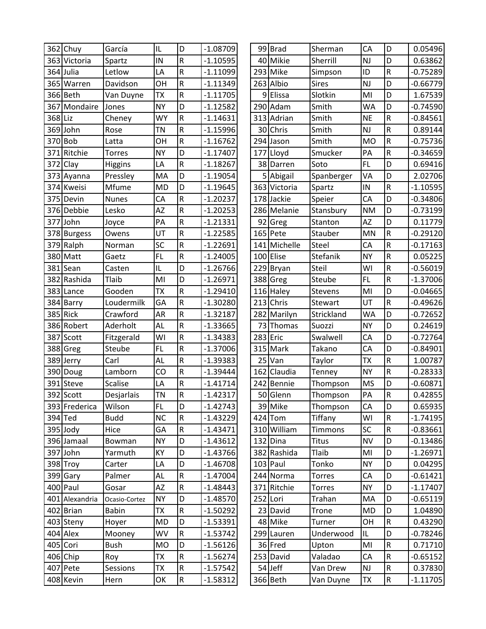|         | 362 Chuy       | García        | IL        | D           | $-1.08709$ |  | 99 Brad      | Sherman       | CA        | D              | 0.05496    |
|---------|----------------|---------------|-----------|-------------|------------|--|--------------|---------------|-----------|----------------|------------|
|         | 363 Victoria   | Spartz        | IN        | R           | $-1.10595$ |  | 40 Mikie     | Sherrill      | NJ        | D              | 0.63862    |
| 364     | Julia          | Letlow        | LA        | R           | $-1.11099$ |  | 293 Mike     | Simpson       | ID        | $\sf R$        | $-0.75289$ |
| 365     | Warren         | Davidson      | OH        | ${\sf R}$   | $-1.11349$ |  | 263 Albio    | <b>Sires</b>  | <b>NJ</b> | D              | $-0.66779$ |
|         | 366 Beth       | Van Duyne     | <b>TX</b> | ${\sf R}$   | $-1.11705$ |  | 9 Elissa     | Slotkin       | MI        | D              | 1.67539    |
| 367     | Mondaire       | Jones         | <b>NY</b> | D           | $-1.12582$ |  | 290 Adam     | Smith         | <b>WA</b> | D              | $-0.74590$ |
| 368 Liz |                | Cheney        | WY        | $\mathsf R$ | $-1.14631$ |  | 313 Adrian   | Smith         | <b>NE</b> | $\sf R$        | $-0.84561$ |
|         | 369 John       | Rose          | <b>TN</b> | R           | $-1.15996$ |  | 30 Chris     | Smith         | <b>NJ</b> | $\mathsf R$    | 0.89144    |
|         | 370 Bob        | Latta         | OH        | ${\sf R}$   | $-1.16762$ |  | 294 Jason    | Smith         | <b>MO</b> | ${\sf R}$      | $-0.75736$ |
| 371     | Ritchie        | Torres        | <b>NY</b> | D           | $-1.17407$ |  | 177 Lloyd    | Smucker       | PA        | $\sf R$        | $-0.34659$ |
| 372     | Clay           | Higgins       | LA        | $\mathsf R$ | $-1.18267$ |  | 38 Darren    | Soto          | FL.       | D              | 0.69416    |
|         | 373 Ayanna     | Pressley      | MA        | D           | $-1.19054$ |  | 5 Abigail    | Spanberger    | VA        | D              | 2.02706    |
| 374     | Kweisi         | Mfume         | <b>MD</b> | D           | $-1.19645$ |  | 363 Victoria | Spartz        | IN        | R              | $-1.10595$ |
|         | 375 Devin      | <b>Nunes</b>  | CA        | R           | $-1.20237$ |  | 178 Jackie   | Speier        | CA        | D              | $-0.34806$ |
|         | 376 Debbie     | Lesko         | <b>AZ</b> | R           | $-1.20253$ |  | 286 Melanie  | Stansbury     | <b>NM</b> | D              | $-0.73199$ |
| 377     | John           | Joyce         | PA        | ${\sf R}$   | $-1.21331$ |  | 92 Greg      | Stanton       | <b>AZ</b> | D              | 0.11779    |
|         | 378 Burgess    | Owens         | UT        | $\mathsf R$ | $-1.22585$ |  | 165 Pete     | Stauber       | MN        | ${\sf R}$      | $-0.29120$ |
|         | 379 Ralph      | Norman        | SC        | ${\sf R}$   | $-1.22691$ |  | 141 Michelle | Steel         | CA        | R              | $-0.17163$ |
|         | 380 Matt       | Gaetz         | <b>FL</b> | R           | $-1.24005$ |  | 100 Elise    | Stefanik      | <b>NY</b> | $\mathsf R$    | 0.05225    |
| 381     | Sean           | Casten        | IL        | D           | $-1.26766$ |  | 229 Bryan    | Steil         | WI        | $\sf R$        | $-0.56019$ |
|         | 382 Rashida    | Tlaib         | MI        | D           | $-1.26971$ |  | 388 Greg     | Steube        | FL.       | ${\sf R}$      | $-1.37006$ |
| 383     | Lance          | Gooden        | <b>ΤΧ</b> | R           | $-1.29410$ |  | 116 Haley    | Stevens       | MI        | D              | $-0.04665$ |
| 384     | Barry          | Loudermilk    | GA        | ${\sf R}$   | $-1.30280$ |  | 213 Chris    | Stewart       | UT        | ${\sf R}$      | $-0.49626$ |
| 385     | <b>Rick</b>    | Crawford      | AR        | $\mathsf R$ | $-1.32187$ |  | 282 Marilyn  | Strickland    | <b>WA</b> | D              | $-0.72652$ |
|         | 386 Robert     | Aderholt      | AL        | R           | $-1.33665$ |  | 73 Thomas    | Suozzi        | <b>NY</b> | D              | 0.24619    |
|         | 387 Scott      | Fitzgerald    | WI        | R           | $-1.34383$ |  | 283 Eric     | Swalwell      | CA        | D              | $-0.72764$ |
| 388     | Greg           | Steube        | <b>FL</b> | R           | $-1.37006$ |  | 315 Mark     | Takano        | CA        | $\overline{D}$ | $-0.84901$ |
|         | 389 Jerry      | Carl          | AL        | R           | $-1.39383$ |  | $25$ Van     | Taylor        | <b>TX</b> | ${\sf R}$      | 1.00787    |
|         | 390 Doug       | Lamborn       | CO        | $\mathsf R$ | $-1.39444$ |  | 162 Claudia  | Tenney        | <b>NY</b> | $\sf R$        | $-0.28333$ |
|         | 391 Steve      | Scalise       | LA        | $\mathsf R$ | $-1.41714$ |  | 242 Bennie   | Thompson      | <b>MS</b> | D              | $-0.60871$ |
|         | 392 Scott      | Desjarlais    | <b>TN</b> | $\mathsf R$ | $-1.42317$ |  | 50 Glenn     | Thompson      | PA        | ${\sf R}$      | 0.42855    |
|         | 393 Frederica  | Wilson        | FL.       | D           | $-1.42743$ |  | 39 Mike      | Thompson      | CA        | D              | 0.65935    |
|         | 394 Ted        | <b>Budd</b>   | <b>NC</b> | ${\sf R}$   | $-1.43229$ |  | $424$ Tom    | Tiffany       | WI        | $\mathsf R$    | $-1.74195$ |
|         | 395 Jody       | Hice          | GA        | ${\sf R}$   | $-1.43471$ |  | 310 William  | Timmons       | <b>SC</b> | ${\sf R}$      | $-0.83661$ |
|         | 396 Jamaal     | Bowman        | <b>NY</b> | D           | $-1.43612$ |  | 132 Dina     | <b>Titus</b>  | <b>NV</b> | D              | $-0.13486$ |
|         | 397 John       | Yarmuth       | KY        | D           | $-1.43766$ |  | 382 Rashida  | Tlaib         | MI        | D              | $-1.26971$ |
|         | 398 Troy       | Carter        | LA        | D           | $-1.46708$ |  | $103$ Paul   | Tonko         | <b>NY</b> | D              | 0.04295    |
|         | 399 Gary       | Palmer        | AL        | ${\sf R}$   | $-1.47004$ |  | 244 Norma    | <b>Torres</b> | CA        | D              | $-0.61421$ |
|         | 400 Paul       | Gosar         | AZ        | ${\sf R}$   | $-1.48443$ |  | 371 Ritchie  | <b>Torres</b> | <b>NY</b> | D              | $-1.17407$ |
|         | 401 Alexandria | Ocasio-Cortez | <b>NY</b> | D           | $-1.48570$ |  | 252 Lori     | Trahan        | MA        | D              | $-0.65119$ |
|         | 402 Brian      | <b>Babin</b>  | <b>TX</b> | ${\sf R}$   | $-1.50292$ |  | 23 David     | Trone         | <b>MD</b> | D              | 1.04890    |
|         | 403 Steny      | Hoyer         | <b>MD</b> | D           | $-1.53391$ |  | 48 Mike      | Turner        | OH        | ${\sf R}$      | 0.43290    |
|         | 404 Alex       | Mooney        | WV        | ${\sf R}$   | $-1.53742$ |  | 299 Lauren   | Underwood     | IL        | D              | $-0.78246$ |
|         | 405 Cori       | <b>Bush</b>   | <b>MO</b> | D           | $-1.56126$ |  | 36 Fred      | Upton         | MI        | ${\sf R}$      | 0.71710    |
|         | 406 Chip       | Roy           | <b>TX</b> | ${\sf R}$   | $-1.56274$ |  | 253 David    | Valadao       | CA        | ${\sf R}$      | $-0.65152$ |
|         | 407 Pete       | Sessions      | <b>TX</b> | ${\sf R}$   | $-1.57542$ |  | 54 Jeff      | Van Drew      | NJ        | ${\sf R}$      | 0.37830    |
|         | 408 Kevin      | Hern          | OK        | ${\sf R}$   | $-1.58312$ |  | 366 Beth     | Van Duyne     | TX        | ${\sf R}$      | $-1.11705$ |